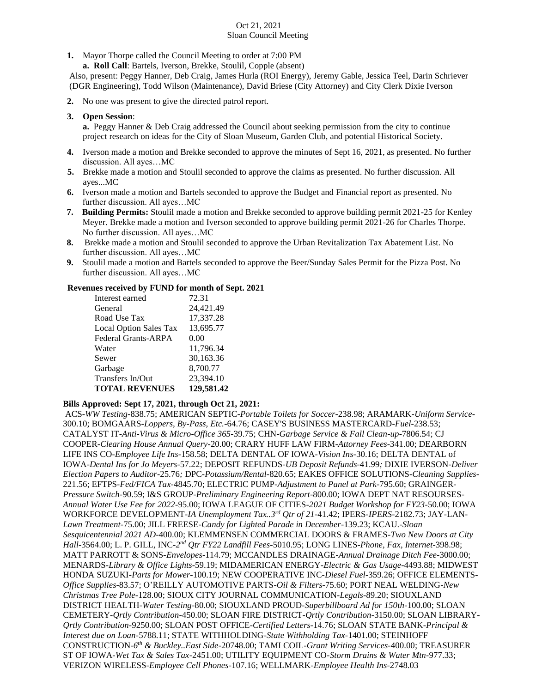#### Oct 21, 2021 Sloan Council Meeting

**1.** Mayor Thorpe called the Council Meeting to order at 7:00 PM

 **a. Roll Call**: Bartels, Iverson, Brekke, Stoulil, Copple (absent)

Also, present: Peggy Hanner, Deb Craig, James Hurla (ROI Energy), Jeremy Gable, Jessica Teel, Darin Schriever (DGR Engineering), Todd Wilson (Maintenance), David Briese (City Attorney) and City Clerk Dixie Iverson

**2.** No one was present to give the directed patrol report.

### **3. Open Session**:

**a.** Peggy Hanner & Deb Craig addressed the Council about seeking permission from the city to continue project research on ideas for the City of Sloan Museum, Garden Club, and potential Historical Society.

- **4.** Iverson made a motion and Brekke seconded to approve the minutes of Sept 16, 2021, as presented. No further discussion. All ayes…MC
- **5.** Brekke made a motion and Stoulil seconded to approve the claims as presented. No further discussion. All ayes...MC
- **6.** Iverson made a motion and Bartels seconded to approve the Budget and Financial report as presented. No further discussion. All ayes…MC
- **7. Building Permits:** Stoulil made a motion and Brekke seconded to approve building permit 2021-25 for Kenley Meyer. Brekke made a motion and Iverson seconded to approve building permit 2021-26 for Charles Thorpe. No further discussion. All ayes…MC
- **8.** Brekke made a motion and Stoulil seconded to approve the Urban Revitalization Tax Abatement List. No further discussion. All ayes…MC
- **9.** Stoulil made a motion and Bartels seconded to approve the Beer/Sunday Sales Permit for the Pizza Post. No further discussion. All ayes…MC

### **Revenues received by FUND for month of Sept. 2021**

| Interest earned               | 72.31      |
|-------------------------------|------------|
| General                       | 24,421.49  |
| Road Use Tax                  | 17,337.28  |
| <b>Local Option Sales Tax</b> | 13,695.77  |
| <b>Federal Grants-ARPA</b>    | 0.00       |
| Water                         | 11,796.34  |
| Sewer                         | 30,163.36  |
| Garbage                       | 8,700.77   |
| Transfers In/Out              | 23,394.10  |
| <b>TOTAL REVENUES</b>         | 129,581.42 |

## **Bills Approved: Sept 17, 2021, through Oct 21, 2021:**

ACS-*WW Testing-*838.75; AMERICAN SEPTIC-*Portable Toilets for Soccer-*238.98; ARAMARK-*Uniform Service-*300.10; BOMGAARS-*Loppers, By-Pass, Etc.-*64.76; CASEY'S BUSINESS MASTERCARD-*Fuel-*238.53; CATALYST IT-*Anti-Virus & Micro-Office 365-*39.75; CHN-*Garbage Service & Fall Clean-up-*7806.54; CJ COOPER-*Clearing House Annual Query-*20.00; CRARY HUFF LAW FIRM-*Attorney Fees-*341.00; DEARBORN LIFE INS CO-*Employee Life Ins-*158.58; DELTA DENTAL OF IOWA-*Vision Ins-*30.16; DELTA DENTAL of IOWA-*Dental Ins for Jo Meyers-*57.22; DEPOSIT REFUNDS-*UB Deposit Refunds-*41.99*;* DIXIE IVERSON-*Deliver Election Papers to Auditor-*25.76*;* DPC-*Potassium/Rental-*820.65; EAKES OFFICE SOLUTIONS-*Cleaning Supplies-*221.56; EFTPS-*Fed/FICA Tax*-4845.70; ELECTRIC PUMP-*Adjustment to Panel at Park-*795.60; GRAINGER-*Pressure Switch-*90.59; I&S GROUP-*Preliminary Engineering Report-*800.00; IOWA DEPT NAT RESOURSES-*Annual Water Use Fee for 2022-*95.00; IOWA LEAGUE OF CITIES-*2021 Budget Workshop for FY23-*50.00; IOWA WORKFORCE DEVELOPMENT-*IA Unemployment Tax..3rd Qtr of 21-*41.42; IPERS-*IPERS-*2182.73; JAY-LAN-*Lawn Treatment-*75.00; JILL FREESE-*Candy for Lighted Parade in December-*139.23; KCAU.-*Sloan Sesquicentennial 2021 AD-*400.00; KLEMMENSEN COMMERCIAL DOORS & FRAMES-*Two New Doors at City Hall-*3564.00; L. P. GILL, INC-*2 nd Qtr FY22 Landfill Fees-*5010.95; LONG LINES-*Phone, Fax, Internet*-398.98; MATT PARROTT & SONS-*Envelopes-*114.79; MCCANDLES DRAINAGE-*Annual Drainage Ditch Fee-*3000.00; MENARDS*-Library & Office Lights-*59.19; MIDAMERICAN ENERGY-*Electric & Gas Usage*-4493.88; MIDWEST HONDA SUZUKI-*Parts for Mower-*100.19; NEW COOPERATIVE INC-*Diesel Fuel-*359.26; OFFICE ELEMENTS-*Office Supplies-*83.57; O'REILLY AUTOMOTIVE PARTS-*Oil & Filters-*75.60; PORT NEAL WELDING-*New Christmas Tree Pole-*128.00; SIOUX CITY JOURNAL COMMUNICATION-*Legals-*89.20; SIOUXLAND DISTRICT HEALTH-*Water Testing*-80.00; SIOUXLAND PROUD-*Superbillboard Ad for 150th-*100.00; SLOAN CEMETERY-*Qrtly Contribution-*450.00; SLOAN FIRE DISTRICT-*Qrtly Contribution-*3150.00; SLOAN LIBRARY-*Qrtly Contribution-*9250.00; SLOAN POST OFFICE-*Certified Letters-*14.76; SLOAN STATE BANK-*Principal & Interest due on Loan-*5788.11; STATE WITHHOLDING-*State Withholding Tax-*1401.00; STEINHOFF CONSTRUCTION-*6 th & Buckley..East Side-*20748.00; TAMI COIL-*Grant Writing Services-*400.00; TREASURER ST OF IOWA-*Wet Tax & Sales Tax-*2451.00; UTILITY EQUIPMENT CO-*Storm Drains & Water Mtn-*977.33; VERIZON WIRELESS-*Employee Cell Phones-*107.16; WELLMARK-*Employee Health Ins-*2748.03